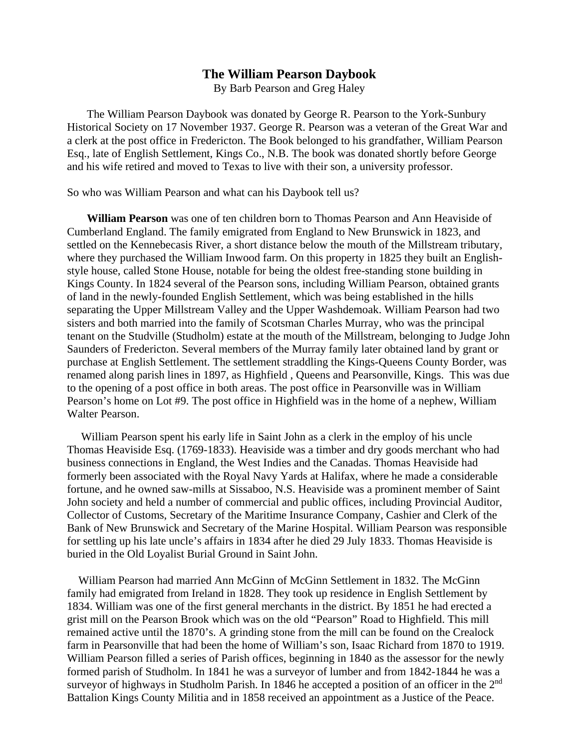## **The William Pearson Daybook**

By Barb Pearson and Greg Haley

 The William Pearson Daybook was donated by George R. Pearson to the York-Sunbury Historical Society on 17 November 1937. George R. Pearson was a veteran of the Great War and a clerk at the post office in Fredericton. The Book belonged to his grandfather, William Pearson Esq., late of English Settlement, Kings Co., N.B. The book was donated shortly before George and his wife retired and moved to Texas to live with their son, a university professor.

So who was William Pearson and what can his Daybook tell us?

 **William Pearson** was one of ten children born to Thomas Pearson and Ann Heaviside of Cumberland England. The family emigrated from England to New Brunswick in 1823, and settled on the Kennebecasis River, a short distance below the mouth of the Millstream tributary, where they purchased the William Inwood farm. On this property in 1825 they built an Englishstyle house, called Stone House, notable for being the oldest free-standing stone building in Kings County. In 1824 several of the Pearson sons, including William Pearson, obtained grants of land in the newly-founded English Settlement, which was being established in the hills separating the Upper Millstream Valley and the Upper Washdemoak. William Pearson had two sisters and both married into the family of Scotsman Charles Murray, who was the principal tenant on the Studville (Studholm) estate at the mouth of the Millstream, belonging to Judge John Saunders of Fredericton. Several members of the Murray family later obtained land by grant or purchase at English Settlement. The settlement straddling the Kings-Queens County Border, was renamed along parish lines in 1897, as Highfield , Queens and Pearsonville, Kings. This was due to the opening of a post office in both areas. The post office in Pearsonville was in William Pearson's home on Lot #9. The post office in Highfield was in the home of a nephew, William Walter Pearson.

 William Pearson spent his early life in Saint John as a clerk in the employ of his uncle Thomas Heaviside Esq. (1769-1833). Heaviside was a timber and dry goods merchant who had business connections in England, the West Indies and the Canadas. Thomas Heaviside had formerly been associated with the Royal Navy Yards at Halifax, where he made a considerable fortune, and he owned saw-mills at Sissaboo, N.S. Heaviside was a prominent member of Saint John society and held a number of commercial and public offices, including Provincial Auditor, Collector of Customs, Secretary of the Maritime Insurance Company, Cashier and Clerk of the Bank of New Brunswick and Secretary of the Marine Hospital. William Pearson was responsible for settling up his late uncle's affairs in 1834 after he died 29 July 1833. Thomas Heaviside is buried in the Old Loyalist Burial Ground in Saint John.

 William Pearson had married Ann McGinn of McGinn Settlement in 1832. The McGinn family had emigrated from Ireland in 1828. They took up residence in English Settlement by 1834. William was one of the first general merchants in the district. By 1851 he had erected a grist mill on the Pearson Brook which was on the old "Pearson" Road to Highfield. This mill remained active until the 1870's. A grinding stone from the mill can be found on the Crealock farm in Pearsonville that had been the home of William's son, Isaac Richard from 1870 to 1919. William Pearson filled a series of Parish offices, beginning in 1840 as the assessor for the newly formed parish of Studholm. In 1841 he was a surveyor of lumber and from 1842-1844 he was a surveyor of highways in Studholm Parish. In 1846 he accepted a position of an officer in the 2<sup>nd</sup> Battalion Kings County Militia and in 1858 received an appointment as a Justice of the Peace.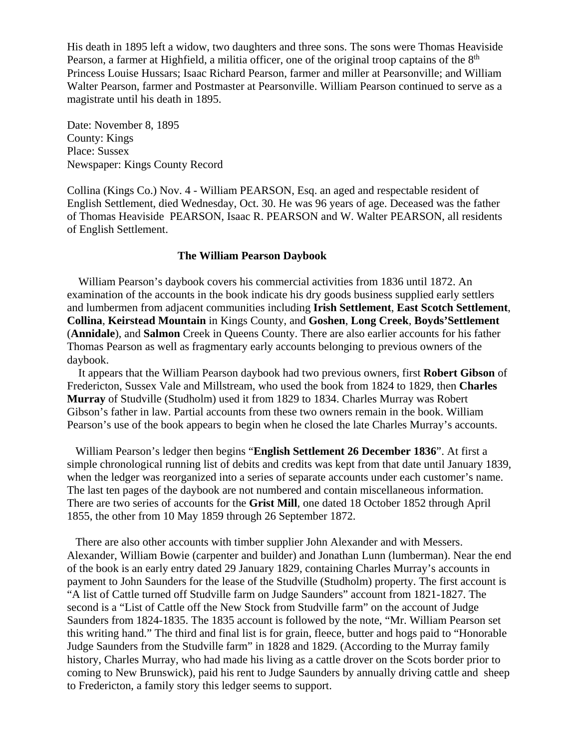His death in 1895 left a widow, two daughters and three sons. The sons were Thomas Heaviside Pearson, a farmer at Highfield, a militia officer, one of the original troop captains of the 8<sup>th</sup> Princess Louise Hussars; Isaac Richard Pearson, farmer and miller at Pearsonville; and William Walter Pearson, farmer and Postmaster at Pearsonville. William Pearson continued to serve as a magistrate until his death in 1895.

Date: November 8, 1895 County: Kings Place: Sussex Newspaper: Kings County Record

Collina (Kings Co.) Nov. 4 - William PEARSON, Esq. an aged and respectable resident of English Settlement, died Wednesday, Oct. 30. He was 96 years of age. Deceased was the father of Thomas Heaviside PEARSON, Isaac R. PEARSON and W. Walter PEARSON, all residents of English Settlement.

### **The William Pearson Daybook**

 William Pearson's daybook covers his commercial activities from 1836 until 1872. An examination of the accounts in the book indicate his dry goods business supplied early settlers and lumbermen from adjacent communities including **Irish Settlement**, **East Scotch Settlement**, **Collina**, **Keirstead Mountain** in Kings County, and **Goshen**, **Long Creek**, **Boyds'Settlement** (**Annidale**), and **Salmon** Creek in Queens County. There are also earlier accounts for his father Thomas Pearson as well as fragmentary early accounts belonging to previous owners of the daybook.

 It appears that the William Pearson daybook had two previous owners, first **Robert Gibson** of Fredericton, Sussex Vale and Millstream, who used the book from 1824 to 1829, then **Charles Murray** of Studville (Studholm) used it from 1829 to 1834. Charles Murray was Robert Gibson's father in law. Partial accounts from these two owners remain in the book. William Pearson's use of the book appears to begin when he closed the late Charles Murray's accounts.

 William Pearson's ledger then begins "**English Settlement 26 December 1836**". At first a simple chronological running list of debits and credits was kept from that date until January 1839, when the ledger was reorganized into a series of separate accounts under each customer's name. The last ten pages of the daybook are not numbered and contain miscellaneous information. There are two series of accounts for the **Grist Mill**, one dated 18 October 1852 through April 1855, the other from 10 May 1859 through 26 September 1872.

 There are also other accounts with timber supplier John Alexander and with Messers. Alexander, William Bowie (carpenter and builder) and Jonathan Lunn (lumberman). Near the end of the book is an early entry dated 29 January 1829, containing Charles Murray's accounts in payment to John Saunders for the lease of the Studville (Studholm) property. The first account is "A list of Cattle turned off Studville farm on Judge Saunders" account from 1821-1827. The second is a "List of Cattle off the New Stock from Studville farm" on the account of Judge Saunders from 1824-1835. The 1835 account is followed by the note, "Mr. William Pearson set this writing hand." The third and final list is for grain, fleece, butter and hogs paid to "Honorable Judge Saunders from the Studville farm" in 1828 and 1829. (According to the Murray family history, Charles Murray, who had made his living as a cattle drover on the Scots border prior to coming to New Brunswick), paid his rent to Judge Saunders by annually driving cattle and sheep to Fredericton, a family story this ledger seems to support.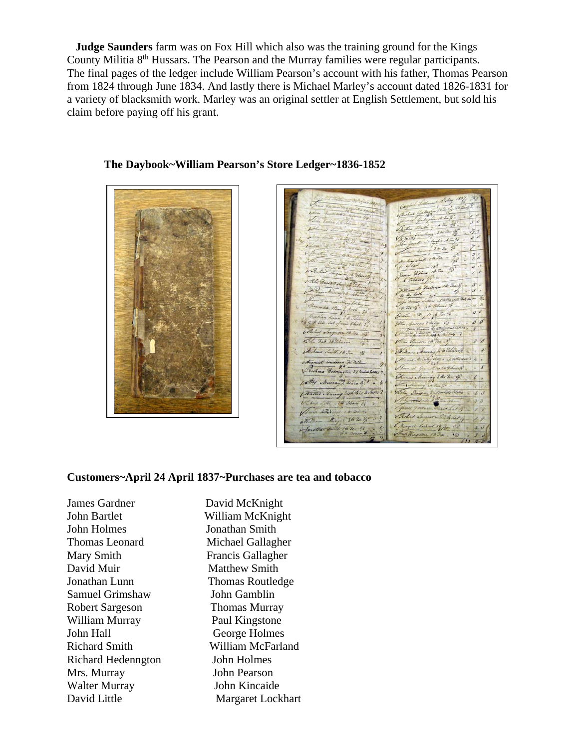**Judge Saunders** farm was on Fox Hill which also was the training ground for the Kings County Militia 8<sup>th</sup> Hussars. The Pearson and the Murray families were regular participants. The final pages of the ledger include William Pearson's account with his father, Thomas Pearson from 1824 through June 1834. And lastly there is Michael Marley's account dated 1826-1831 for a variety of blacksmith work. Marley was an original settler at English Settlement, but sold his claim before paying off his grant.





And 16 74 1 6 Tobacco Michand Smith 1 to Jea John 1 y Hea  $1/3$ ay 2 kr 30 a 3/ Murray 2 2 3 3 2 ( Walter Manag Cash Pais Beleite Bodiel Ja  $\overline{R}$ Dangel Lockart 14 Ja Mingdom 12 Tea

#### **Customers~April 24 April 1837~Purchases are tea and tobacco**

James Gardner David McKnight John Bartlet William McKnight John Holmes Jonathan Smith Thomas Leonard Michael Gallagher Mary Smith Francis Gallagher David Muir Matthew Smith Jonathan Lunn Thomas Routledge Samuel Grimshaw John Gamblin Robert Sargeson Thomas Murray William Murray Paul Kingstone John Hall George Holmes Richard Hedenngton John Holmes Mrs. Murray John Pearson Walter Murray John Kincaide David Little Margaret Lockhart

Richard Smith William McFarland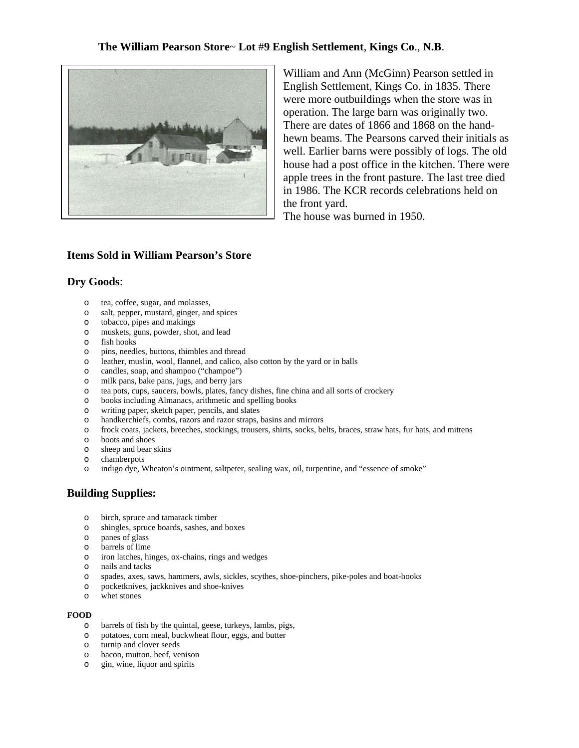# **The William Pearson Store**~ **Lot** #**9 English Settlement**, **Kings Co**., **N.B**.



William and Ann (McGinn) Pearson settled in English Settlement, Kings Co. in 1835. There were more outbuildings when the store was in operation. The large barn was originally two. There are dates of 1866 and 1868 on the handhewn beams. The Pearsons carved their initials as well. Earlier barns were possibly of logs. The old house had a post office in the kitchen. There were apple trees in the front pasture. The last tree died in 1986. The KCR records celebrations held on the front yard.

The house was burned in 1950.

# **Items Sold in William Pearson's Store**

#### **Dry Goods**:

- o tea, coffee, sugar, and molasses,
- o salt, pepper, mustard, ginger, and spices
- o tobacco, pipes and makings
- o muskets, guns, powder, shot, and lead
- o fish hooks
- o pins, needles, buttons, thimbles and thread
- o leather, muslin, wool, flannel, and calico, also cotton by the yard or in balls
- o candles, soap, and shampoo ("champoe")
- o milk pans, bake pans, jugs, and berry jars
- o tea pots, cups, saucers, bowls, plates, fancy dishes, fine china and all sorts of crockery
- o books including Almanacs, arithmetic and spelling books
- o writing paper, sketch paper, pencils, and slates
- o handkerchiefs, combs, razors and razor straps, basins and mirrors
- o frock coats, jackets, breeches, stockings, trousers, shirts, socks, belts, braces, straw hats, fur hats, and mittens
- o boots and shoes
- o sheep and bear skins
- o chamberpots
- o indigo dye, Wheaton's ointment, saltpeter, sealing wax, oil, turpentine, and "essence of smoke"

# **Building Supplies:**

- o birch, spruce and tamarack timber
- o shingles, spruce boards, sashes, and boxes
- o panes of glass
- o barrels of lime
- o iron latches, hinges, ox-chains, rings and wedges
- o nails and tacks
- o spades, axes, saws, hammers, awls, sickles, scythes, shoe-pinchers, pike-poles and boat-hooks
- o pocketknives, jackknives and shoe-knives
- o whet stones

#### **FOOD**

- o barrels of fish by the quintal, geese, turkeys, lambs, pigs,
- o potatoes, corn meal, buckwheat flour, eggs, and butter
- o turnip and clover seeds
- o bacon, mutton, beef, venison
- o gin, wine, liquor and spirits